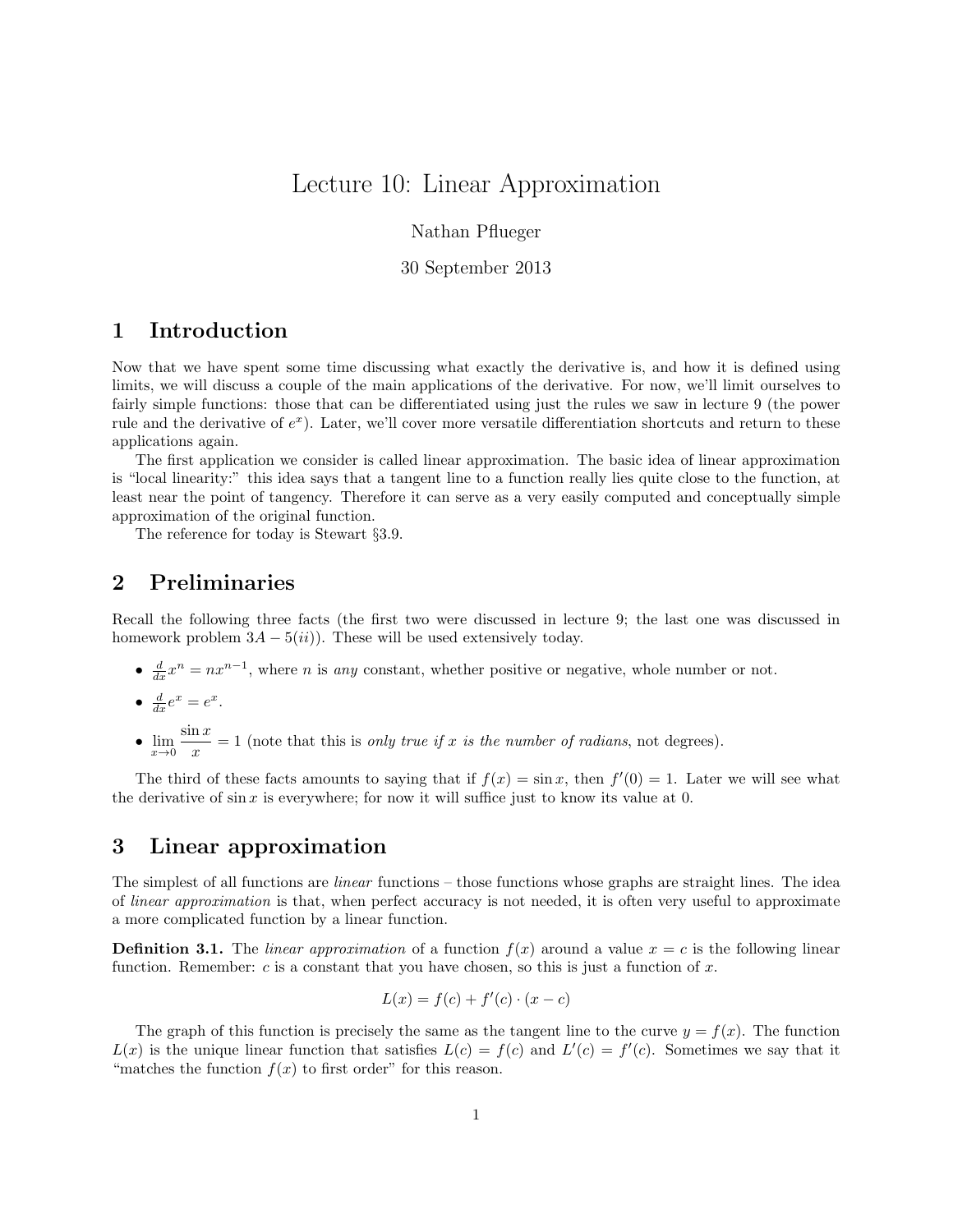# Lecture 10: Linear Approximation

Nathan Pflueger

30 September 2013

# 1 Introduction

Now that we have spent some time discussing what exactly the derivative is, and how it is defined using limits, we will discuss a couple of the main applications of the derivative. For now, we'll limit ourselves to fairly simple functions: those that can be differentiated using just the rules we saw in lecture 9 (the power rule and the derivative of  $e^x$ ). Later, we'll cover more versatile differentiation shortcuts and return to these applications again.

The first application we consider is called linear approximation. The basic idea of linear approximation is "local linearity:" this idea says that a tangent line to a function really lies quite close to the function, at least near the point of tangency. Therefore it can serve as a very easily computed and conceptually simple approximation of the original function.

The reference for today is Stewart §3.9.

### 2 Preliminaries

Recall the following three facts (the first two were discussed in lecture 9; the last one was discussed in homework problem  $3A - 5(ii)$ . These will be used extensively today.

- $\frac{d}{dx}x^n = nx^{n-1}$ , where *n* is any constant, whether positive or negative, whole number or not.
- $\frac{d}{dx}e^x = e^x$ .
- $\lim_{x\to 0} \frac{\sin x}{x}$  $\frac{dx}{dx} = 1$  (note that this is *only true if* x *is the number of radians*, not degrees).

The third of these facts amounts to saying that if  $f(x) = \sin x$ , then  $f'(0) = 1$ . Later we will see what the derivative of  $\sin x$  is everywhere; for now it will suffice just to know its value at 0.

# 3 Linear approximation

The simplest of all functions are linear functions – those functions whose graphs are straight lines. The idea of linear approximation is that, when perfect accuracy is not needed, it is often very useful to approximate a more complicated function by a linear function.

**Definition 3.1.** The *linear approximation* of a function  $f(x)$  around a value  $x = c$  is the following linear function. Remember: c is a constant that you have chosen, so this is just a function of x.

$$
L(x) = f(c) + f'(c) \cdot (x - c)
$$

The graph of this function is precisely the same as the tangent line to the curve  $y = f(x)$ . The function  $L(x)$  is the unique linear function that satisfies  $L(c) = f(c)$  and  $L'(c) = f'(c)$ . Sometimes we say that it "matches the function  $f(x)$  to first order" for this reason.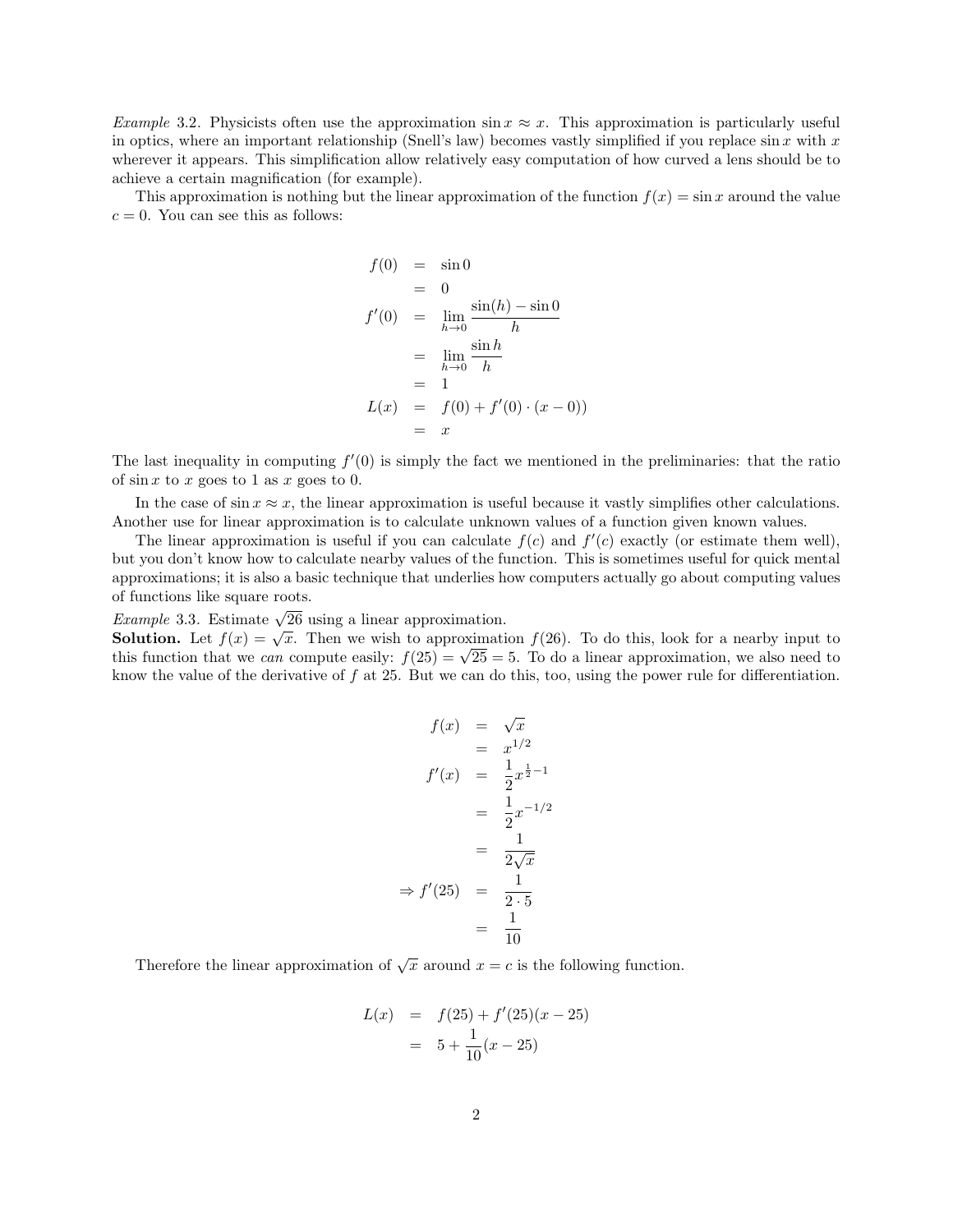Example 3.2. Physicists often use the approximation  $\sin x \approx x$ . This approximation is particularly useful in optics, where an important relationship (Snell's law) becomes vastly simplified if you replace  $\sin x$  with x wherever it appears. This simplification allow relatively easy computation of how curved a lens should be to achieve a certain magnification (for example).

This approximation is nothing but the linear approximation of the function  $f(x) = \sin x$  around the value  $c = 0$ . You can see this as follows:

$$
f(0) = \sin 0
$$
  
= 0  

$$
f'(0) = \lim_{h \to 0} \frac{\sin(h) - \sin 0}{h}
$$
  
= 
$$
\lim_{h \to 0} \frac{\sin h}{h}
$$
  
= 1  

$$
L(x) = f(0) + f'(0) \cdot (x - 0)
$$
  
= x

The last inequality in computing  $f'(0)$  is simply the fact we mentioned in the preliminaries: that the ratio of  $\sin x$  to x goes to 1 as x goes to 0.

In the case of  $\sin x \approx x$ , the linear approximation is useful because it vastly simplifies other calculations. Another use for linear approximation is to calculate unknown values of a function given known values.

The linear approximation is useful if you can calculate  $f(c)$  and  $f'(c)$  exactly (or estimate them well), but you don't know how to calculate nearby values of the function. This is sometimes useful for quick mental approximations; it is also a basic technique that underlies how computers actually go about computing values of functions like square roots.

Example 3.3. Estimate  $\sqrt{26}$  using a linear approximation.

*Example* 3.3. Estimate  $\sqrt{20}$  using a mear approximation.<br>**Solution.** Let  $f(x) = \sqrt{x}$ . Then we wish to approximation  $f(26)$ . To do this, look for a nearby input to **Solution.** Let  $f(x) = \sqrt{x}$ . Then we wish to approximation  $f(26)$ . To do this, look for a nearby input to this function that we *can* compute easily:  $f(25) = \sqrt{25} = 5$ . To do a linear approximation, we also need to know the value of the derivative of  $f$  at 25. But we can do this, too, using the power rule for differentiation.

$$
f(x) = \sqrt{x}
$$
  
\n
$$
= x^{1/2}
$$
  
\n
$$
f'(x) = \frac{1}{2}x^{\frac{1}{2}-1}
$$
  
\n
$$
= \frac{1}{2}x^{-1/2}
$$
  
\n
$$
= \frac{1}{2\sqrt{x}}
$$
  
\n
$$
\Rightarrow f'(25) = \frac{1}{2 \cdot 5}
$$
  
\n
$$
= \frac{1}{10}
$$

Therefore the linear approximation of  $\sqrt{x}$  around  $x = c$  is the following function.

$$
L(x) = f(25) + f'(25)(x - 25)
$$
  
= 5 +  $\frac{1}{10}(x - 25)$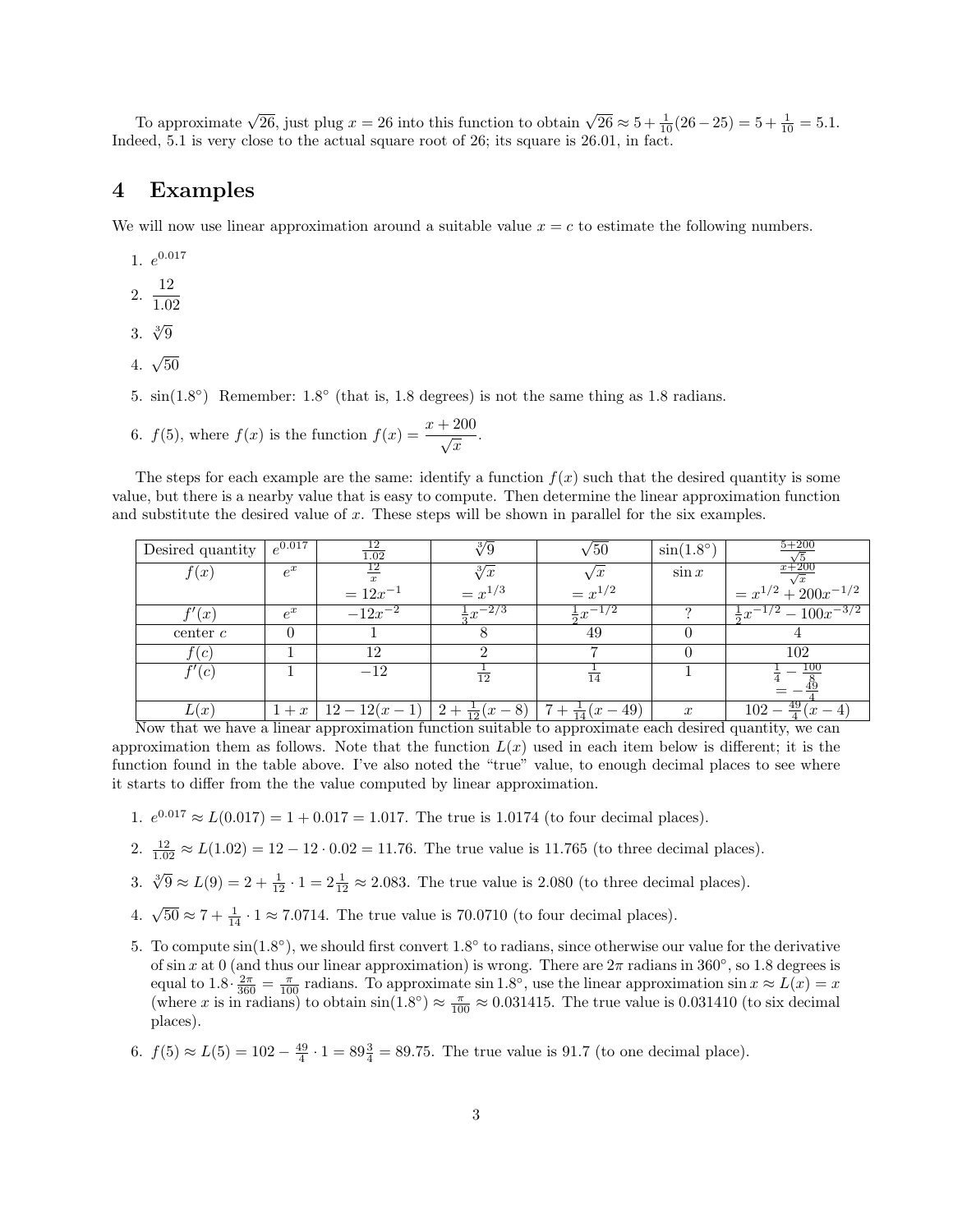To approximate  $\sqrt{26}$ , just plug  $x = 26$  into this function to obtain  $\sqrt{26} \approx 5 + \frac{1}{10}(26 - 25) = 5 + \frac{1}{10} = 5.1$ . Indeed, 5.1 is very close to the actual square root of 26; its square is 26.01, in fact.

#### 4 Examples

We will now use linear approximation around a suitable value  $x = c$  to estimate the following numbers.

- 1.  $e^{0.017}$
- 2.  $\frac{12}{10}$
- 1.02
- 3.  $\sqrt[3]{9}$
- 4.  $\sqrt{50}$
- 5.  $sin(1.8^{\circ})$  Remember:  $1.8^{\circ}$  (that is, 1.8 degrees) is not the same thing as 1.8 radians.
- 6.  $f(5)$ , where  $f(x)$  is the function  $f(x) = \frac{x + 200}{\sqrt{x}}$ .

The steps for each example are the same: identify a function  $f(x)$  such that the desired quantity is some value, but there is a nearby value that is easy to compute. Then determine the linear approximation function and substitute the desired value of x. These steps will be shown in parallel for the six examples.

| Desired quantity                                                                                       | $e^{0.017}$ | $\frac{12}{1.02}$                            | $\sqrt[3]{9}$         | $\sqrt{50}$            | $\sin(1.8^\circ)$ | $5 + 200$                           |
|--------------------------------------------------------------------------------------------------------|-------------|----------------------------------------------|-----------------------|------------------------|-------------------|-------------------------------------|
| f(x)                                                                                                   | $e^x$       | $\frac{12}{x}$                               | $\sqrt[3]{x}$         | $\sqrt{x}$             | $\sin x$          | $x + 200$                           |
|                                                                                                        |             | $= 12x^{-1}$                                 | $= x^{1/3}$           | $= x^{1/2}$            |                   | $= x^{1/2} + 200x^{-1/2}$           |
| f'(x)                                                                                                  | $e^x$       | $-12x^{-2}$                                  | $\frac{1}{2}x^{-2/3}$ | $\frac{1}{2}x^{-1/2}$  |                   | $\frac{1}{2}x^{-1/2} - 100x^{-3/2}$ |
| $\text{center } c$                                                                                     | $\Omega$    |                                              |                       | 49                     |                   |                                     |
| f(c)                                                                                                   |             | 12                                           |                       |                        |                   | 102                                 |
| f'(c)                                                                                                  |             | $-12$                                        | $\overline{12}$       | $\overline{14}$        |                   | 100                                 |
| L(x)                                                                                                   |             | $1+x$   $12-12(x-1)$   $2+\frac{1}{12}(x-8)$ |                       | $7+\frac{1}{14}(x-49)$ | $\boldsymbol{x}$  | $102 - \frac{49}{4}(x-4)$           |
| Now that we have a linear approximation function suitable to approximate each desired quantity, we can |             |                                              |                       |                        |                   |                                     |

approximation them as follows. Note that the function  $L(x)$  used in each item below is different; it is the function found in the table above. I've also noted the "true" value, to enough decimal places to see where it starts to differ from the the value computed by linear approximation.

- 1.  $e^{0.017} \approx L(0.017) = 1 + 0.017 = 1.017$ . The true is 1.0174 (to four decimal places).
- $2. \frac{12}{1.02} \approx L(1.02) = 12 12 \cdot 0.02 = 11.76$ . The true value is 11.765 (to three decimal places).
- 3.  $\sqrt[3]{9} \approx L(9) = 2 + \frac{1}{12} \cdot 1 = 2\frac{1}{12} \approx 2.083$ . The true value is 2.080 (to three decimal places).
- 4.  $\sqrt{50} \approx 7 + \frac{1}{14} \cdot 1 \approx 7.0714$ . The true value is 70.0710 (to four decimal places).
- 5. To compute  $sin(1.8^{\circ})$ , we should first convert  $1.8^{\circ}$  to radians, since otherwise our value for the derivative of sin x at 0 (and thus our linear approximation) is wrong. There are  $2\pi$  radians in 360 $\degree$ , so 1.8 degrees is equal to  $1.8 \cdot \frac{2\pi}{360} = \frac{\pi}{100}$  radians. To approximate sin 1.8°, use the linear approximation sin  $x \approx L(x) = x$ (where x is in radians) to obtain  $sin(1.8^{\circ}) \approx \frac{\pi}{100} \approx 0.031415$ . The true value is 0.031410 (to six decimal places).
- 6.  $f(5) \approx L(5) = 102 \frac{49}{4} \cdot 1 = 89\frac{3}{4} = 89.75$ . The true value is 91.7 (to one decimal place).